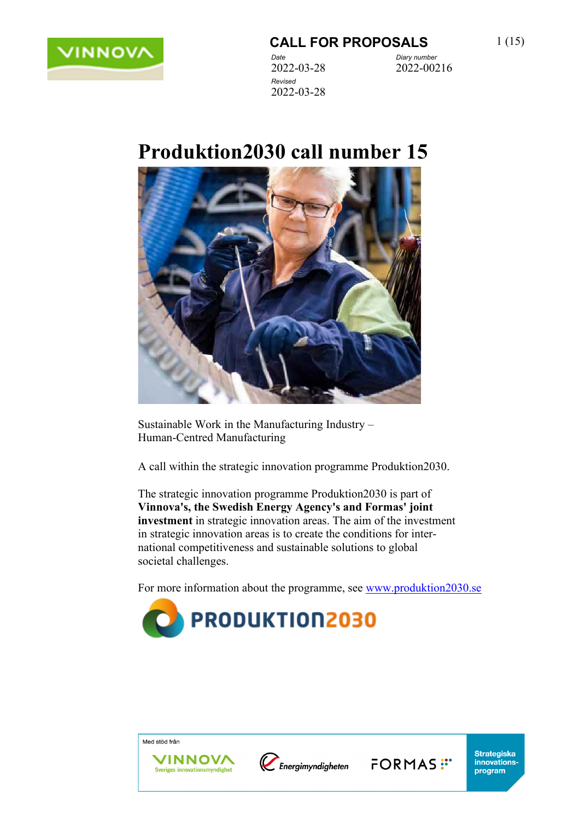

# **Produktion2030 call number 15**

2022-03-28



Sustainable Work in the Manufacturing Industry – Human-Centred Manufacturing

A call within the strategic innovation programme Produktion2030.

The strategic innovation programme Produktion2030 is part of **Vinnova's, the Swedish Energy Agency's and Formas' joint investment** in strategic innovation areas. The aim of the investment in strategic innovation areas is to create the conditions for international competitiveness and sustainable solutions to global societal challenges.

For more information about the programme, see [www.produktion2030.se](http://www.produktion2030.se/)



Med stöd från



FORMAS<sup>:</sup>

**Strategiska** 

innovations-

program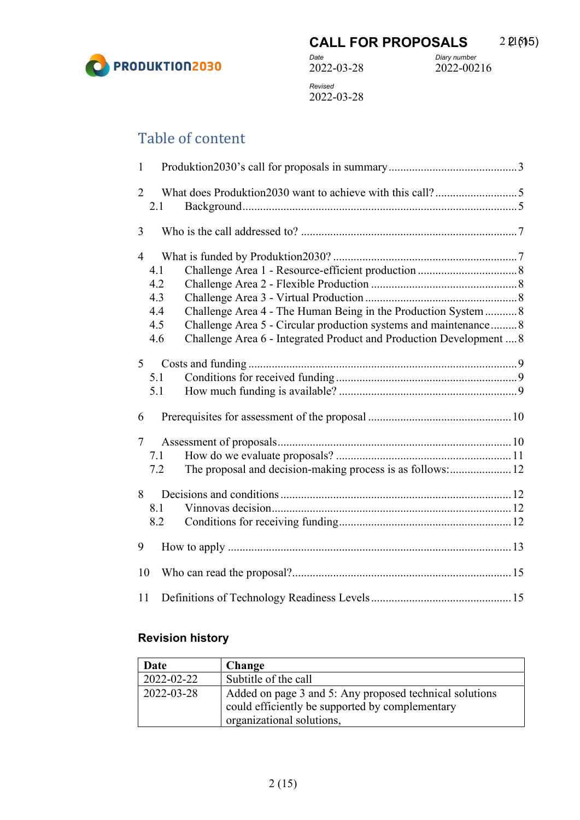

*Revised* 2022-03-28

# Table of content

| $\mathbf{1}$                                                                                                                                                                                                                                                         |                                                                          |  |  |
|----------------------------------------------------------------------------------------------------------------------------------------------------------------------------------------------------------------------------------------------------------------------|--------------------------------------------------------------------------|--|--|
| 2<br>2.1                                                                                                                                                                                                                                                             |                                                                          |  |  |
| 3                                                                                                                                                                                                                                                                    |                                                                          |  |  |
| $\overline{4}$<br>4.1<br>4.2<br>4.3<br>Challenge Area 4 - The Human Being in the Production System  8<br>4.4<br>Challenge Area 5 - Circular production systems and maintenance8<br>4.5<br>Challenge Area 6 - Integrated Product and Production Development  8<br>4.6 |                                                                          |  |  |
| 5 <sup>5</sup>                                                                                                                                                                                                                                                       | 5.1<br>5.1                                                               |  |  |
| 6                                                                                                                                                                                                                                                                    |                                                                          |  |  |
| $\tau$                                                                                                                                                                                                                                                               | 7.1<br>The proposal and decision-making process is as follows: 12<br>7.2 |  |  |
| 8                                                                                                                                                                                                                                                                    | 8.1<br>8.2                                                               |  |  |
| 9                                                                                                                                                                                                                                                                    |                                                                          |  |  |
| 10                                                                                                                                                                                                                                                                   |                                                                          |  |  |
| 11                                                                                                                                                                                                                                                                   |                                                                          |  |  |

#### **Revision history**

| Date       | <b>Change</b>                                           |  |
|------------|---------------------------------------------------------|--|
| 2022-02-22 | Subtitle of the call                                    |  |
| 2022-03-28 | Added on page 3 and 5: Any proposed technical solutions |  |
|            | could efficiently be supported by complementary         |  |
|            | organizational solutions,                               |  |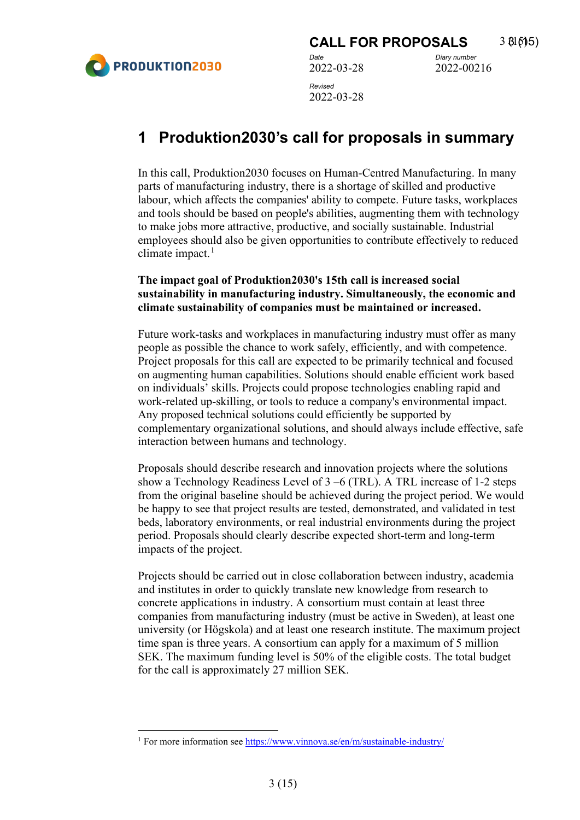

## <span id="page-2-0"></span>**1 Produktion2030's call for proposals in summary**

In this call, Produktion2030 focuses on Human-Centred Manufacturing. In many parts of manufacturing industry, there is a shortage of skilled and productive labour, which affects the companies' ability to compete. Future tasks, workplaces and tools should be based on people's abilities, augmenting them with technology to make jobs more attractive, productive, and socially sustainable. Industrial employees should also be given opportunities to contribute effectively to reduced climate impact. $<sup>1</sup>$  $<sup>1</sup>$  $<sup>1</sup>$ </sup>

#### **The impact goal of Produktion2030's 15th call is increased social sustainability in manufacturing industry. Simultaneously, the economic and climate sustainability of companies must be maintained or increased.**

Future work-tasks and workplaces in manufacturing industry must offer as many people as possible the chance to work safely, efficiently, and with competence. Project proposals for this call are expected to be primarily technical and focused on augmenting human capabilities. Solutions should enable efficient work based on individuals' skills. Projects could propose technologies enabling rapid and work-related up-skilling, or tools to reduce a company's environmental impact. Any proposed technical solutions could efficiently be supported by complementary organizational solutions, and should always include effective, safe interaction between humans and technology.

Proposals should describe research and innovation projects where the solutions show a Technology Readiness Level of 3 –6 (TRL). A TRL increase of 1-2 steps from the original baseline should be achieved during the project period. We would be happy to see that project results are tested, demonstrated, and validated in test beds, laboratory environments, or real industrial environments during the project period. Proposals should clearly describe expected short-term and long-term impacts of the project.

Projects should be carried out in close collaboration between industry, academia and institutes in order to quickly translate new knowledge from research to concrete applications in industry. A consortium must contain at least three companies from manufacturing industry (must be active in Sweden), at least one university (or Högskola) and at least one research institute. The maximum project time span is three years. A consortium can apply for a maximum of 5 million SEK. The maximum funding level is 50% of the eligible costs. The total budget for the call is approximately 27 million SEK.

<span id="page-2-1"></span><sup>&</sup>lt;sup>1</sup> For more information see<https://www.vinnova.se/en/m/sustainable-industry/>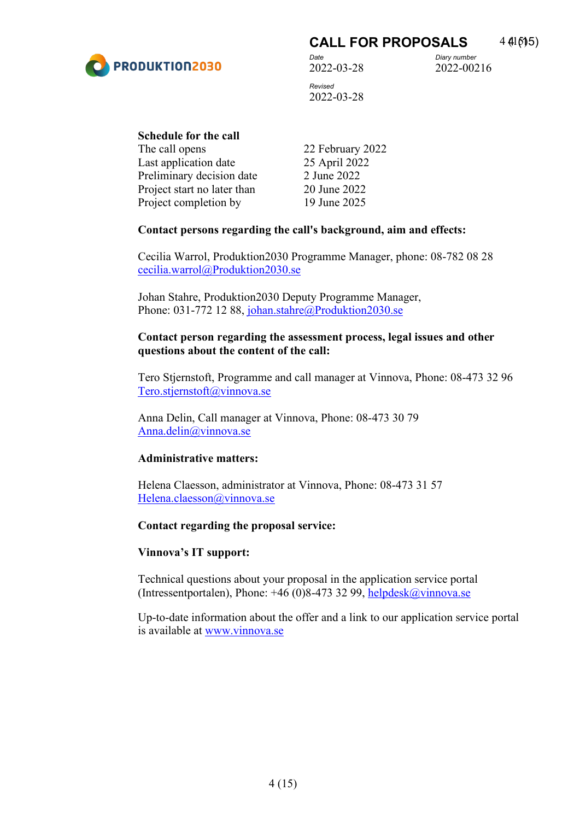

#### **CALL FOR PROPOSALS** 4 41 615)

2022-03-28 *Revised* 

*Date Diary number* 2022-00216

2022-03-28

| Schedule for the call       |                  |  |  |  |
|-----------------------------|------------------|--|--|--|
| The call opens              | 22 February 2022 |  |  |  |
| Last application date       | 25 April 2022    |  |  |  |
| Preliminary decision date   | 2 June 2022      |  |  |  |
| Project start no later than | 20 June 2022     |  |  |  |
| Project completion by       | 19 June 2025     |  |  |  |

#### **Contact persons regarding the call's background, aim and effects:**

Cecilia Warrol, Produktion2030 Programme Manager, phone: 08-782 08 28 [cecilia.warrol@Produktion2030.se](mailto:cecilia.warrol@Produktion2030.se) 

Johan Stahre, Produktion2030 Deputy Programme Manager, Phone: 031-772 12 88, johan.stahre@Produktion2030.se

#### **Contact person regarding the assessment process, legal issues and other questions about the content of the call:**

Tero Stjernstoft, Programme and call manager at Vinnova, Phone: 08-473 32 96 [Tero.stjernstoft@vinnova.se](mailto:Tero.stjernstoft@vinnova.se)

Anna Delin, Call manager at Vinnova, Phone: 08-473 30 79 [Anna.delin@vinnova.se](mailto:Anna.delin@vinnova.se)

#### **Administrative matters:**

Helena Claesson, administrator at Vinnova, Phone: 08-473 31 57 [Helena.claesson@vinnova.se](mailto:Helena.claesson@vinnova.se)

#### **Contact regarding the proposal service:**

#### **Vinnova's IT support:**

Technical questions about your proposal in the application service portal (Intressentportalen), Phone:  $+46$  (0)8-473 32 99, helpdesk $@$ vinnova.se

Up-to-date information about the offer and a link to our application service portal is available at [www.vinnova.se](http://www.vinnova.se/)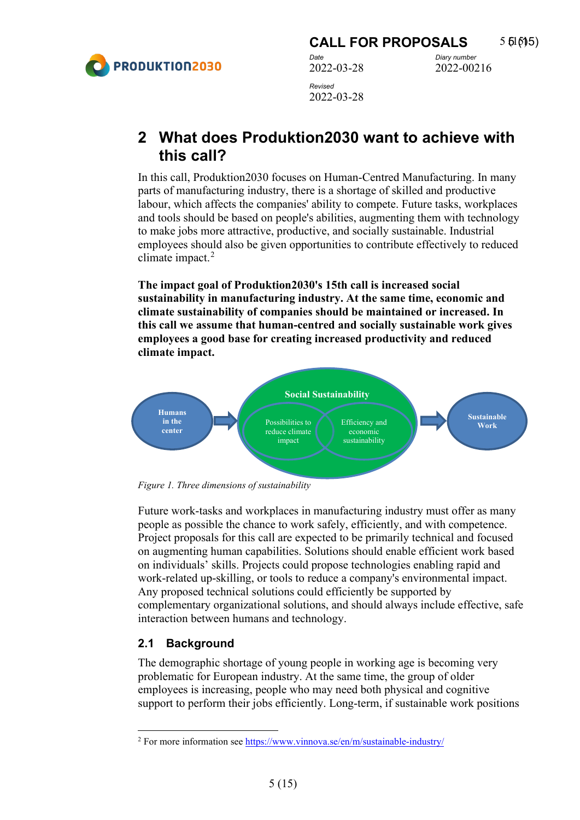

### <span id="page-4-0"></span>**2 What does Produktion2030 want to achieve with this call?**

In this call, Produktion2030 focuses on Human-Centred Manufacturing. In many parts of manufacturing industry, there is a shortage of skilled and productive labour, which affects the companies' ability to compete. Future tasks, workplaces and tools should be based on people's abilities, augmenting them with technology to make jobs more attractive, productive, and socially sustainable. Industrial employees should also be given opportunities to contribute effectively to reduced climate impact. $2$ 

**The impact goal of Produktion2030's 15th call is increased social sustainability in manufacturing industry. At the same time, economic and climate sustainability of companies should be maintained or increased. In this call we assume that human-centred and socially sustainable work gives employees a good base for creating increased productivity and reduced climate impact.**



*Figure 1. Three dimensions of sustainability*

Future work-tasks and workplaces in manufacturing industry must offer as many people as possible the chance to work safely, efficiently, and with competence. Project proposals for this call are expected to be primarily technical and focused on augmenting human capabilities. Solutions should enable efficient work based on individuals' skills. Projects could propose technologies enabling rapid and work-related up-skilling, or tools to reduce a company's environmental impact. Any proposed technical solutions could efficiently be supported by complementary organizational solutions, and should always include effective, safe interaction between humans and technology.

#### <span id="page-4-1"></span>**2.1 Background**

The demographic shortage of young people in working age is becoming very problematic for European industry. At the same time, the group of older employees is increasing, people who may need both physical and cognitive support to perform their jobs efficiently. Long-term, if sustainable work positions

<span id="page-4-2"></span><sup>&</sup>lt;sup>2</sup> For more information see<https://www.vinnova.se/en/m/sustainable-industry/>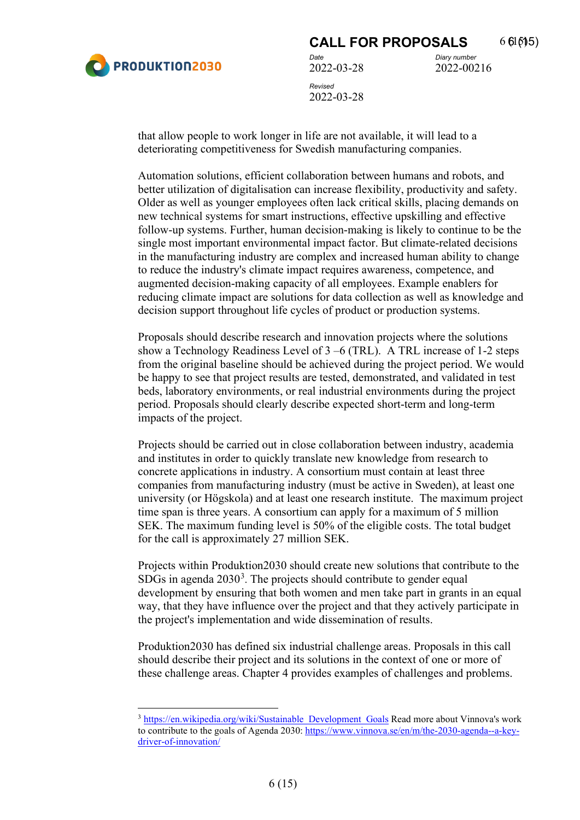

2022-00216

that allow people to work longer in life are not available, it will lead to a deteriorating competitiveness for Swedish manufacturing companies.

Automation solutions, efficient collaboration between humans and robots, and better utilization of digitalisation can increase flexibility, productivity and safety. Older as well as younger employees often lack critical skills, placing demands on new technical systems for smart instructions, effective upskilling and effective follow-up systems. Further, human decision-making is likely to continue to be the single most important environmental impact factor. But climate-related decisions in the manufacturing industry are complex and increased human ability to change to reduce the industry's climate impact requires awareness, competence, and augmented decision-making capacity of all employees. Example enablers for reducing climate impact are solutions for data collection as well as knowledge and decision support throughout life cycles of product or production systems.

Proposals should describe research and innovation projects where the solutions show a Technology Readiness Level of 3 –6 (TRL). A TRL increase of 1-2 steps from the original baseline should be achieved during the project period. We would be happy to see that project results are tested, demonstrated, and validated in test beds, laboratory environments, or real industrial environments during the project period. Proposals should clearly describe expected short-term and long-term impacts of the project.

Projects should be carried out in close collaboration between industry, academia and institutes in order to quickly translate new knowledge from research to concrete applications in industry. A consortium must contain at least three companies from manufacturing industry (must be active in Sweden), at least one university (or Högskola) and at least one research institute. The maximum project time span is three years. A consortium can apply for a maximum of 5 million SEK. The maximum funding level is 50% of the eligible costs. The total budget for the call is approximately 27 million SEK.

Projects within Produktion2030 should create new solutions that contribute to the SDGs in agenda  $2030<sup>3</sup>$  $2030<sup>3</sup>$  $2030<sup>3</sup>$ . The projects should contribute to gender equal development by ensuring that both women and men take part in grants in an equal way, that they have influence over the project and that they actively participate in the project's implementation and wide dissemination of results.

Produktion2030 has defined six industrial challenge areas. Proposals in this call should describe their project and its solutions in the context of one or more of these challenge areas. Chapter 4 provides examples of challenges and problems.

<span id="page-5-0"></span><sup>3</sup> [https://en.wikipedia.org/wiki/Sustainable\\_Development\\_Goals](https://en.wikipedia.org/wiki/Sustainable_Development_Goals) Read more about Vinnova's work to contribute to the goals of Agenda 2030: [https://www.vinnova.se/en/m/the-2030-agenda--a-key](https://www.vinnova.se/en/m/the-2030-agenda--a-key-driver-of-innovation/)[driver-of-innovation/](https://www.vinnova.se/en/m/the-2030-agenda--a-key-driver-of-innovation/)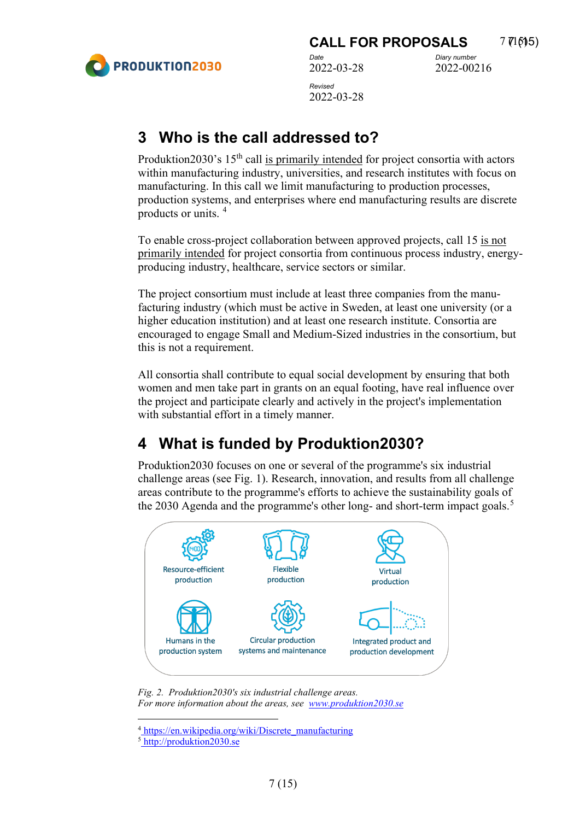

*Revised*  2022-03-28

# <span id="page-6-0"></span>**3 Who is the call addressed to?**

Produktion2030's 15<sup>th</sup> call is primarily intended for project consortia with actors within manufacturing industry, universities, and research institutes with focus on manufacturing. In this call we limit manufacturing to production processes, production systems, and enterprises where end manufacturing results are discrete products or units. [4](#page-6-2)

To enable cross-project collaboration between approved projects, call 15 is not primarily intended for project consortia from continuous process industry, energyproducing industry, healthcare, service sectors or similar.

The project consortium must include at least three companies from the manufacturing industry (which must be active in Sweden, at least one university (or a higher education institution) and at least one research institute. Consortia are encouraged to engage Small and Medium-Sized industries in the consortium, but this is not a requirement.

All consortia shall contribute to equal social development by ensuring that both women and men take part in grants on an equal footing, have real influence over the project and participate clearly and actively in the project's implementation with substantial effort in a timely manner.

# <span id="page-6-1"></span>**4 What is funded by Produktion2030?**

Produktion2030 focuses on one or several of the programme's six industrial challenge areas (see Fig. 1). Research, innovation, and results from all challenge areas contribute to the programme's efforts to achieve the sustainability goals of the 2030 Agenda and the programme's other long- and short-term impact goals.<sup>[5](#page-6-3)</sup>



*Fig. 2. Produktion2030's six industrial challenge areas. For more information about the areas, see [www.produktion2030.se](http://www.produktion2030.se/)*

<span id="page-6-2"></span><sup>4</sup> [https://en.wikipedia.org/wiki/Discrete\\_manufacturing](https://en.wikipedia.org/wiki/Discrete_manufacturing)

<span id="page-6-3"></span><sup>5</sup> [http://produktion2030.se](http://produktion2030.se/)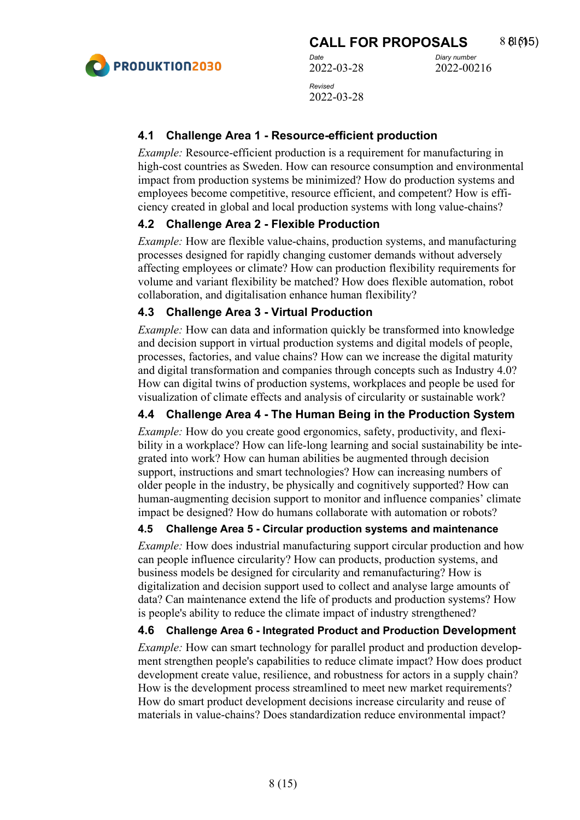

2022-00216

#### <span id="page-7-0"></span>**4.1 Challenge Area 1 - Resource-efficient production**

*Example:* Resource-efficient production is a requirement for manufacturing in high-cost countries as Sweden. How can resource consumption and environmental impact from production systems be minimized? How do production systems and employees become competitive, resource efficient, and competent? How is efficiency created in global and local production systems with long value-chains?

#### <span id="page-7-1"></span>**4.2 Challenge Area 2 - Flexible Production**

*Example:* How are flexible value-chains, production systems, and manufacturing processes designed for rapidly changing customer demands without adversely affecting employees or climate? How can production flexibility requirements for volume and variant flexibility be matched? How does flexible automation, robot collaboration, and digitalisation enhance human flexibility?

#### <span id="page-7-2"></span>**4.3 Challenge Area 3 - Virtual Production**

*Example:* How can data and information quickly be transformed into knowledge and decision support in virtual production systems and digital models of people, processes, factories, and value chains? How can we increase the digital maturity and digital transformation and companies through concepts such as Industry 4.0? How can digital twins of production systems, workplaces and people be used for visualization of climate effects and analysis of circularity or sustainable work?

#### <span id="page-7-3"></span>**4.4 Challenge Area 4 - The Human Being in the Production System**

*Example:* How do you create good ergonomics, safety, productivity, and flexibility in a workplace? How can life-long learning and social sustainability be integrated into work? How can human abilities be augmented through decision support, instructions and smart technologies? How can increasing numbers of older people in the industry, be physically and cognitively supported? How can human-augmenting decision support to monitor and influence companies' climate impact be designed? How do humans collaborate with automation or robots?

#### <span id="page-7-4"></span>**4.5 Challenge Area 5 - Circular production systems and maintenance**

*Example:* How does industrial manufacturing support circular production and how can people influence circularity? How can products, production systems, and business models be designed for circularity and remanufacturing? How is digitalization and decision support used to collect and analyse large amounts of data? Can maintenance extend the life of products and production systems? How is people's ability to reduce the climate impact of industry strengthened?

#### <span id="page-7-5"></span>**4.6 Challenge Area 6 - Integrated Product and Production Development**

*Example:* How can smart technology for parallel product and production development strengthen people's capabilities to reduce climate impact? How does product development create value, resilience, and robustness for actors in a supply chain? How is the development process streamlined to meet new market requirements? How do smart product development decisions increase circularity and reuse of materials in value-chains? Does standardization reduce environmental impact?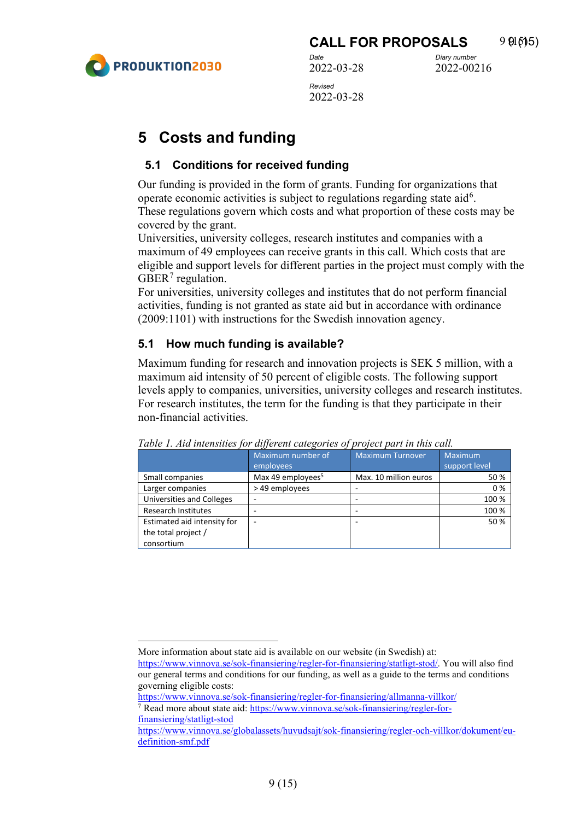# 2022-00216

# <span id="page-8-0"></span>**5 Costs and funding**

#### <span id="page-8-1"></span>**5.1 Conditions for received funding**

Our funding is provided in the form of grants. Funding for organizations that operate economic activities is subject to regulations regarding state aid<sup>[6](#page-8-3)</sup>. These regulations govern which costs and what proportion of these costs may be covered by the grant.

Universities, university colleges, research institutes and companies with a maximum of 49 employees can receive grants in this call. Which costs that are eligible and support levels for different parties in the project must comply with the GBER<sup>[7](#page-8-4)</sup> regulation.

For universities, university colleges and institutes that do not perform financial activities, funding is not granted as state aid but in accordance with ordinance (2009:1101) with instructions for the Swedish innovation agency.

#### <span id="page-8-2"></span>**5.1 How much funding is available?**

Maximum funding for research and innovation projects is SEK 5 million, with a maximum aid intensity of 50 percent of eligible costs. The following support levels apply to companies, universities, university colleges and research institutes. For research institutes, the term for the funding is that they participate in their non-financial activities.

|                             | Maximum number of<br>employees | <b>Maximum Turnover</b> | <b>Maximum</b><br>support level |
|-----------------------------|--------------------------------|-------------------------|---------------------------------|
| Small companies             | Max 49 employees <sup>5</sup>  | Max. 10 million euros   | 50 %                            |
| Larger companies            | >49 employees                  |                         | 0%                              |
| Universities and Colleges   |                                |                         | 100 %                           |
| <b>Research Institutes</b>  |                                |                         | 100 %                           |
| Estimated aid intensity for |                                |                         | 50%                             |
| the total project /         |                                |                         |                                 |
| consortium                  |                                |                         |                                 |

*Table 1. Aid intensities for different categories of project part in this call.*

<https://www.vinnova.se/sok-finansiering/regler-for-finansiering/allmanna-villkor/>

<span id="page-8-4"></span><sup>7</sup> Read more about state aid[: https://www.vinnova.se/sok-finansiering/regler-for](https://www.vinnova.se/sok-finansiering/regler-for-finansiering/statligt-stod)[finansiering/statligt-stod](https://www.vinnova.se/sok-finansiering/regler-for-finansiering/statligt-stod)

<span id="page-8-3"></span>More information about state aid is available on our website (in Swedish) at:

[https://www.vinnova.se/sok-finansiering/regler-for-finansiering/statligt-stod/.](https://www.vinnova.se/sok-finansiering/regler-for-finansiering/statligt-stod/) You will also find our general terms and conditions for our funding, as well as a guide to the terms and conditions governing eligible costs:

[https://www.vinnova.se/globalassets/huvudsajt/sok-finansiering/regler-och-villkor/dokument/eu](https://www.vinnova.se/globalassets/huvudsajt/sok-finansiering/regler-och-villkor/dokument/eu-definition-smf.pdf)[definition-smf.pdf](https://www.vinnova.se/globalassets/huvudsajt/sok-finansiering/regler-och-villkor/dokument/eu-definition-smf.pdf)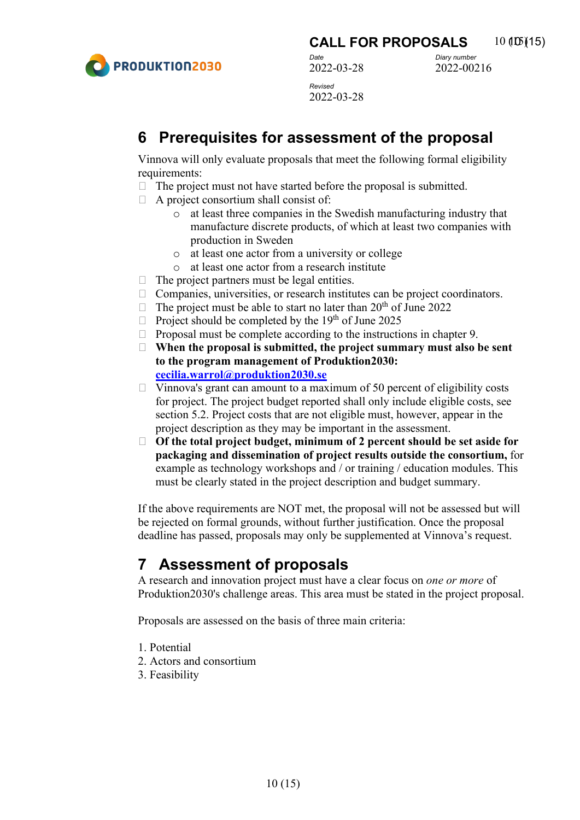

**CALL FOR PROPOSALS** 10 (15)(15)

*Date Diary number* 2022-00216

2022-03-28 *Revised*  2022-03-28

## <span id="page-9-0"></span>**6 Prerequisites for assessment of the proposal**

Vinnova will only evaluate proposals that meet the following formal eligibility requirements:

- $\Box$  The project must not have started before the proposal is submitted.
- $\Box$  A project consortium shall consist of:
	- o at least three companies in the Swedish manufacturing industry that manufacture discrete products, of which at least two companies with production in Sweden
	- o at least one actor from a university or college
	- o at least one actor from a research institute
- $\Box$  The project partners must be legal entities.
- $\Box$  Companies, universities, or research institutes can be project coordinators.
- $\Box$  The project must be able to start no later than 20<sup>th</sup> of June 2022
- $\Box$  Project should be completed by the 19<sup>th</sup> of June 2025
- $\Box$  Proposal must be complete according to the instructions in chapter 9.
- **When the proposal is submitted, the project summary must also be sent to the program management of Produktion2030: [cecilia.warrol@produktion2030.se](mailto:cecilia.warrol@produktion2030.se)**
- $\Box$  Vinnova's grant can amount to a maximum of 50 percent of eligibility costs for project. The project budget reported shall only include eligible costs, see section 5.2. Project costs that are not eligible must, however, appear in the project description as they may be important in the assessment.
- **Of the total project budget, minimum of 2 percent should be set aside for packaging and dissemination of project results outside the consortium,** for example as technology workshops and / or training / education modules. This must be clearly stated in the project description and budget summary.

If the above requirements are NOT met, the proposal will not be assessed but will be rejected on formal grounds, without further justification. Once the proposal deadline has passed, proposals may only be supplemented at Vinnova's request.

### <span id="page-9-1"></span>**7 Assessment of proposals**

A research and innovation project must have a clear focus on *one or more* of Produktion2030's challenge areas. This area must be stated in the project proposal.

Proposals are assessed on the basis of three main criteria:

- 1. Potential
- 2. Actors and consortium
- 3. Feasibility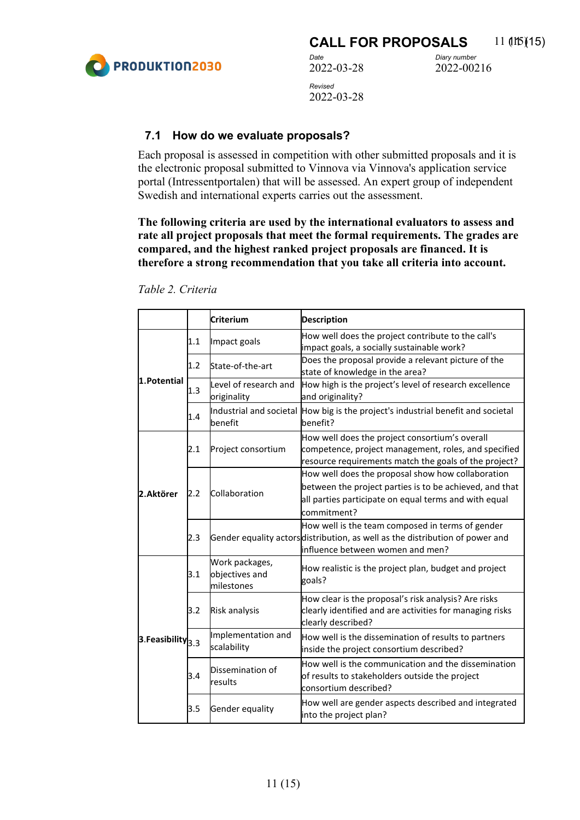

2022-00216

#### <span id="page-10-0"></span>**7.1 How do we evaluate proposals?**

Each proposal is assessed in competition with other submitted proposals and it is the electronic proposal submitted to Vinnova via Vinnova's application service portal (Intressentportalen) that will be assessed. An expert group of independent Swedish and international experts carries out the assessment.

**The following criteria are used by the international evaluators to assess and rate all project proposals that meet the formal requirements. The grades are compared, and the highest ranked project proposals are financed. It is therefore a strong recommendation that you take all criteria into account.**

|                           |     | <b>Criterium</b>                               | <b>Description</b>                                                                                                                                                                   |
|---------------------------|-----|------------------------------------------------|--------------------------------------------------------------------------------------------------------------------------------------------------------------------------------------|
|                           | 1.1 | Impact goals                                   | How well does the project contribute to the call's<br>impact goals, a socially sustainable work?                                                                                     |
|                           | 1.2 | State-of-the-art                               | Does the proposal provide a relevant picture of the<br>state of knowledge in the area?                                                                                               |
| 1.Potential               | 1.3 | Level of research and<br>originality           | How high is the project's level of research excellence<br>and originality?                                                                                                           |
|                           | 1.4 | benefit                                        | Industrial and societal How big is the project's industrial benefit and societal<br>benefit?                                                                                         |
|                           | 2.1 | Project consortium                             | How well does the project consortium's overall<br>competence, project management, roles, and specified<br>resource requirements match the goals of the project?                      |
| 2.Aktörer                 | 2.2 | Collaboration                                  | How well does the proposal show how collaboration<br>between the project parties is to be achieved, and that<br>all parties participate on equal terms and with equal<br>commitment? |
|                           | 2.3 |                                                | How well is the team composed in terms of gender<br>Gender equality actors distribution, as well as the distribution of power and<br>influence between women and men?                |
|                           | 3.1 | Work packages,<br>objectives and<br>milestones | How realistic is the project plan, budget and project<br>goals?                                                                                                                      |
|                           | 3.2 | <b>Risk analysis</b>                           | How clear is the proposal's risk analysis? Are risks<br>clearly identified and are activities for managing risks<br>clearly described?                                               |
| $3.$ Feasibility $_{3.3}$ |     | Implementation and<br>scalability              | How well is the dissemination of results to partners<br>inside the project consortium described?                                                                                     |
|                           | 3.4 | Dissemination of<br>results                    | How well is the communication and the dissemination<br>of results to stakeholders outside the project<br>consortium described?                                                       |
|                           | 3.5 | Gender equality                                | How well are gender aspects described and integrated<br>into the project plan?                                                                                                       |

*Table 2. Criteria*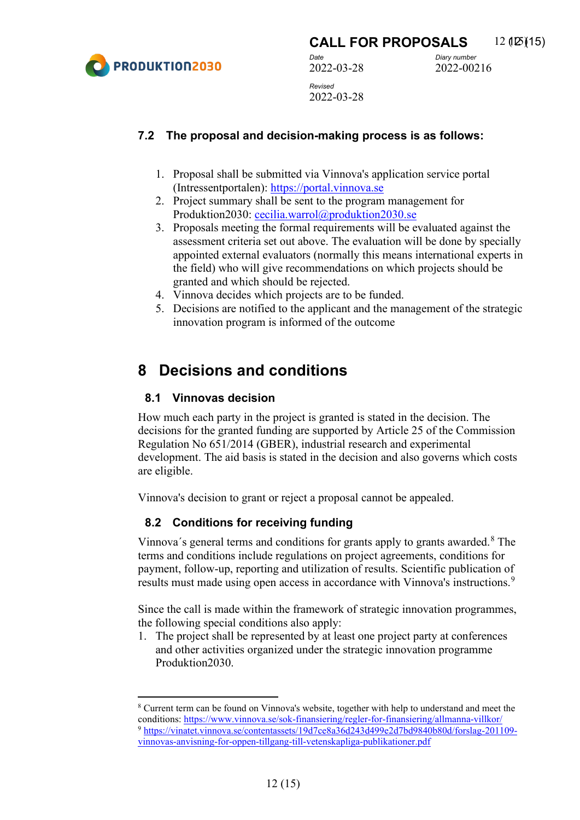

**CALL FOR PROPOSALS** 12 (125)(15)

2022-00216

*Date Diary number* 2022-03-28 *Revised*  2022-03-28

#### <span id="page-11-0"></span>**7.2 The proposal and decision-making process is as follows:**

- 1. Proposal shall be submitted via Vinnova's application service portal (Intressentportalen): [https://portal.vinnova.se](https://portal.vinnova.se/)
- 2. Project summary shall be sent to the program management for Produktion2030: [cecilia.warrol@produktion2030.se](mailto:cecilia.warrol@produktion2030.se)
- 3. Proposals meeting the formal requirements will be evaluated against the assessment criteria set out above. The evaluation will be done by specially appointed external evaluators (normally this means international experts in the field) who will give recommendations on which projects should be granted and which should be rejected.
- 4. Vinnova decides which projects are to be funded.
- 5. Decisions are notified to the applicant and the management of the strategic innovation program is informed of the outcome

### <span id="page-11-1"></span>**8 Decisions and conditions**

#### <span id="page-11-2"></span>**8.1 Vinnovas decision**

How much each party in the project is granted is stated in the decision. The decisions for the granted funding are supported by Article 25 of the Commission Regulation No 651/2014 (GBER), industrial research and experimental development. The aid basis is stated in the decision and also governs which costs are eligible.

<span id="page-11-3"></span>Vinnova's decision to grant or reject a proposal cannot be appealed.

#### **8.2 Conditions for receiving funding**

Vinnova´s general terms and conditions for grants apply to grants awarded.[8](#page-11-4) The terms and conditions include regulations on project agreements, conditions for payment, follow-up, reporting and utilization of results. Scientific publication of results must made using open access in accordance with Vinnova's instructions.<sup>[9](#page-11-5)</sup>

Since the call is made within the framework of strategic innovation programmes, the following special conditions also apply:

1. The project shall be represented by at least one project party at conferences and other activities organized under the strategic innovation programme Produktion2030.

<span id="page-11-5"></span><span id="page-11-4"></span><sup>8</sup> Current term can be found on Vinnova's website, together with help to understand and meet the conditions[: https://www.vinnova.se/sok-finansiering/regler-for-finansiering/allmanna-villkor/](https://www.vinnova.se/sok-finansiering/regler-for-finansiering/allmanna-villkor/) <sup>9</sup> [https://vinatet.vinnova.se/contentassets/19d7ce8a36d243d499e2d7bd9840b80d/forslag-201109](https://vinatet.vinnova.se/contentassets/19d7ce8a36d243d499e2d7bd9840b80d/forslag-201109-vinnovas-anvisning-for-oppen-tillgang-till-vetenskapliga-publikationer.pdf) [vinnovas-anvisning-for-oppen-tillgang-till-vetenskapliga-publikationer.pdf](https://vinatet.vinnova.se/contentassets/19d7ce8a36d243d499e2d7bd9840b80d/forslag-201109-vinnovas-anvisning-for-oppen-tillgang-till-vetenskapliga-publikationer.pdf)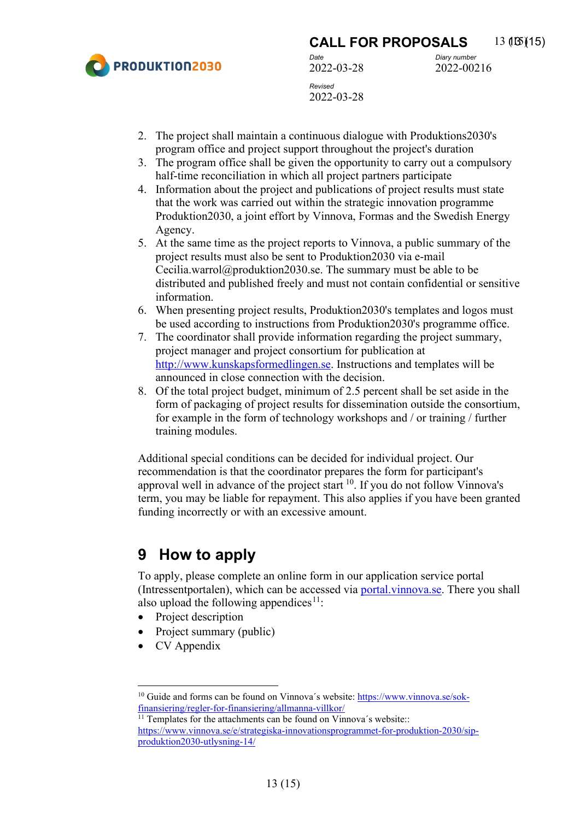

**CALL FOR PROPOSALS** 13 (15)(15) *Date Diary number* 2022-03-28 *Revised* 

2022-00216

2022-03-28

- 2. The project shall maintain a continuous dialogue with Produktions2030's program office and project support throughout the project's duration
- 3. The program office shall be given the opportunity to carry out a compulsory half-time reconciliation in which all project partners participate
- 4. Information about the project and publications of project results must state that the work was carried out within the strategic innovation programme Produktion2030, a joint effort by Vinnova, Formas and the Swedish Energy Agency.
- 5. At the same time as the project reports to Vinnova, a public summary of the project results must also be sent to Produktion2030 via e-mail Cecilia.warrol@produktion2030.se. The summary must be able to be distributed and published freely and must not contain confidential or sensitive information.
- 6. When presenting project results, Produktion2030's templates and logos must be used according to instructions from Produktion2030's programme office.
- 7. The coordinator shall provide information regarding the project summary, project manager and project consortium for publication at [http://www.kunskapsformedlingen.se.](http://www.kunskapsformedlingen.se/) Instructions and templates will be announced in close connection with the decision.
- 8. Of the total project budget, minimum of 2.5 percent shall be set aside in the form of packaging of project results for dissemination outside the consortium, for example in the form of technology workshops and / or training / further training modules.

Additional special conditions can be decided for individual project. Our recommendation is that the coordinator prepares the form for participant's approval well in advance of the project start  $10$ . If you do not follow Vinnova's term, you may be liable for repayment. This also applies if you have been granted funding incorrectly or with an excessive amount.

## <span id="page-12-0"></span>**9 How to apply**

To apply, please complete an online form in our application service portal (Intressentportalen), which can be accessed via [portal.vinnova.se.](https://portal.vinnova.se/) There you shall also upload the following appendices<sup>[11](#page-12-2)</sup>:

- Project description
- Project summary (public)
- CV Appendix

<span id="page-12-1"></span><sup>&</sup>lt;sup>10</sup> Guide and forms can be found on Vinnova's website: [https://www.vinnova.se/sok](https://www.vinnova.se/sok-finansiering/regler-for-finansiering/allmanna-villkor/)[finansiering/regler-for-finansiering/allmanna-villkor/](https://www.vinnova.se/sok-finansiering/regler-for-finansiering/allmanna-villkor/) 11 Templates for the attachments can be found on Vinnova´s website::

<span id="page-12-2"></span>[https://www.vinnova.se/e/strategiska-innovationsprogrammet-for-produktion-2030/sip](https://www.vinnova.se/e/strategiska-innovationsprogrammet-for-produktion-2030/sip-produktion2030-utlysning-14/)[produktion2030-utlysning-14/](https://www.vinnova.se/e/strategiska-innovationsprogrammet-for-produktion-2030/sip-produktion2030-utlysning-14/)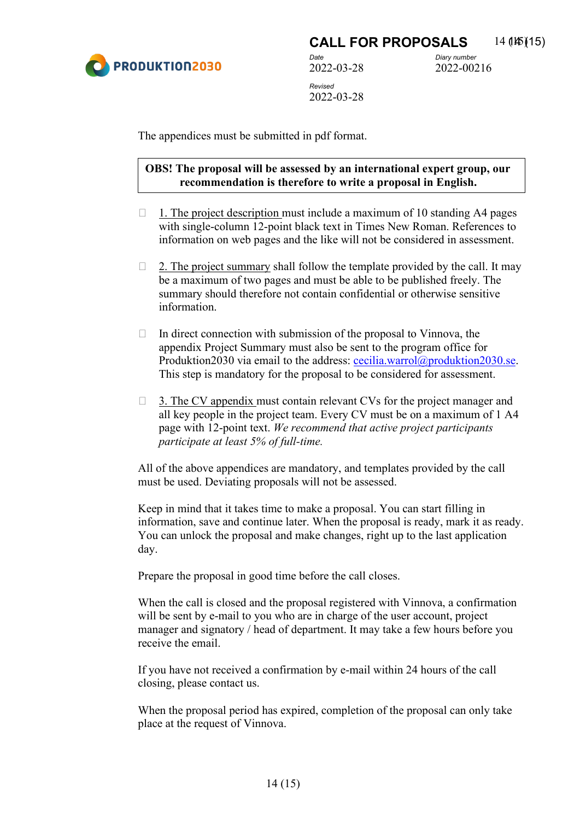

2022-00216

The appendices must be submitted in pdf format.

#### **OBS! The proposal will be assessed by an international expert group, our recommendation is therefore to write a proposal in English.**

- $\Box$  1. The project description must include a maximum of 10 standing A4 pages with single-column 12-point black text in Times New Roman. References to information on web pages and the like will not be considered in assessment.
- $\Box$  2. The project summary shall follow the template provided by the call. It may be a maximum of two pages and must be able to be published freely. The summary should therefore not contain confidential or otherwise sensitive information.
- $\Box$  In direct connection with submission of the proposal to Vinnova, the appendix Project Summary must also be sent to the program office for Produktion2030 via email to the address: [cecilia.warrol@produktion2030.se.](mailto:cecilia.warrol@produktion2030.se) This step is mandatory for the proposal to be considered for assessment.
- $\Box$  3. The CV appendix must contain relevant CVs for the project manager and all key people in the project team. Every CV must be on a maximum of 1 A4 page with 12-point text. *We recommend that active project participants participate at least 5% of full-time.*

All of the above appendices are mandatory, and templates provided by the call must be used. Deviating proposals will not be assessed.

Keep in mind that it takes time to make a proposal. You can start filling in information, save and continue later. When the proposal is ready, mark it as ready. You can unlock the proposal and make changes, right up to the last application day.

Prepare the proposal in good time before the call closes.

When the call is closed and the proposal registered with Vinnova, a confirmation will be sent by e-mail to you who are in charge of the user account, project manager and signatory / head of department. It may take a few hours before you receive the email.

If you have not received a confirmation by e-mail within 24 hours of the call closing, please contact us.

When the proposal period has expired, completion of the proposal can only take place at the request of Vinnova.